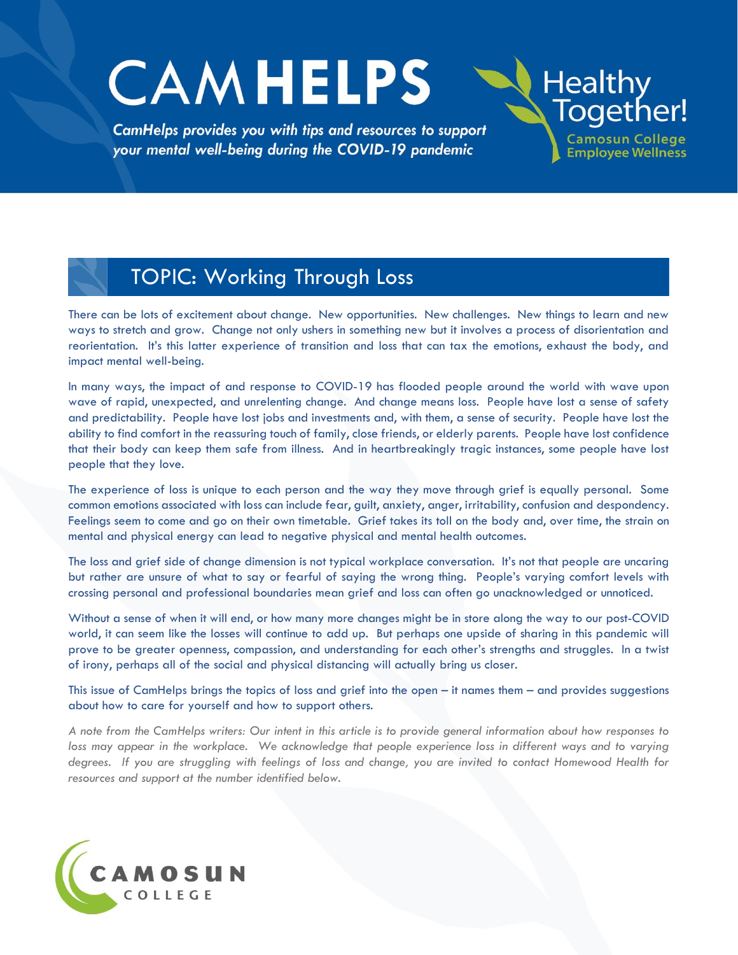# **CAMHELPS**

TOPIC: Working Through Loss

CamHelps provides you with tips and resources to support your mental well-being during the COVID-19 pandemic

There can be lots of excitement about change. New opportunities. New challenges. New things to learn and new ways to stretch and grow. Change not only ushers in something new but it involves a process of disorientation and reorientation. It's this latter experience of transition and loss that can tax the emotions, exhaust the body, and impact mental well-being.

**Healthy** 

Together!

**Camosun College** 

**Employee Wellness** 

In many ways, the impact of and response to COVID-19 has flooded people around the world with wave upon wave of rapid, unexpected, and unrelenting change. And change means loss. People have lost a sense of safety and predictability. People have lost jobs and investments and, with them, a sense of security. People have lost the ability to find comfort in the reassuring touch of family, close friends, or elderly parents. People have lost confidence that their body can keep them safe from illness. And in heartbreakingly tragic instances, some people have lost people that they love.

The experience of loss is unique to each person and the way they move through grief is equally personal. Some common emotions associated with loss can include fear, guilt, anxiety, anger, irritability, confusion and despondency. Feelings seem to come and go on their own timetable. Grief takes its toll on the body and, over time, the strain on mental and physical energy can lead to negative physical and mental health outcomes.

The loss and grief side of change dimension is not typical workplace conversation. It's not that people are uncaring but rather are unsure of what to say or fearful of saying the wrong thing. People's varying comfort levels with crossing personal and professional boundaries mean grief and loss can often go unacknowledged or unnoticed.

Without a sense of when it will end, or how many more changes might be in store along the way to our post-COVID world, it can seem like the losses will continue to add up. But perhaps one upside of sharing in this pandemic will prove to be greater openness, compassion, and understanding for each other's strengths and struggles. In a twist of irony, perhaps all of the social and physical distancing will actually bring us closer.

This issue of CamHelps brings the topics of loss and grief into the open – it names them – and provides suggestions about how to care for yourself and how to support others.

*A note from the CamHelps writers: Our intent in this article is to provide general information about how responses to*  loss may appear in the workplace. We acknowledge that people experience loss in different ways and to varying *degrees. If you are struggling with feelings of loss and change, you are invited to contact Homewood Health for resources and support at the number identified below.* 

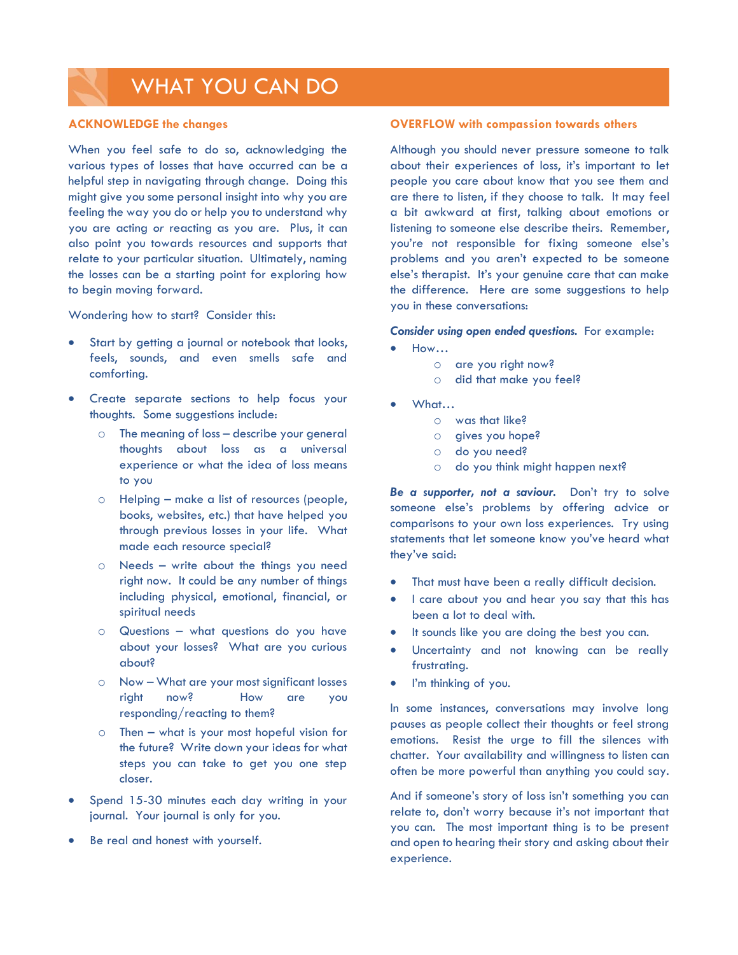## WHAT YOU CAN DO

#### **ACKNOWLEDGE the changes**

When you feel safe to do so, acknowledging the various types of losses that have occurred can be a helpful step in navigating through change. Doing this might give you some personal insight into why you are feeling the way you do or help you to understand why you are acting *or* reacting as you are. Plus, it can also point you towards resources and supports that relate to your particular situation. Ultimately, naming the losses can be a starting point for exploring how to begin moving forward.

Wondering how to start? Consider this:

- Start by getting a journal or notebook that looks, feels, sounds, and even smells safe and comforting.
- Create separate sections to help focus your thoughts. Some suggestions include:
	- o The meaning of loss describe your general thoughts about loss as a universal experience or what the idea of loss means to you
	- o Helping make a list of resources (people, books, websites, etc.) that have helped you through previous losses in your life. What made each resource special?
	- o Needs write about the things you need right now. It could be any number of things including physical, emotional, financial, or spiritual needs
	- o Questions what questions do you have about your losses? What are you curious about?
	- o Now What are your most significant losses right now? How are you responding/reacting to them?
	- o Then what is your most hopeful vision for the future? Write down your ideas for what steps you can take to get you one step closer.
- Spend 15-30 minutes each day writing in your journal. Your journal is only for you.
- Be real and honest with yourself.

#### **OVERFLOW with compassion towards others**

Although you should never pressure someone to talk about their experiences of loss, it's important to let people you care about know that you see them and are there to listen, if they choose to talk. It may feel a bit awkward at first, talking about emotions or listening to someone else describe theirs. Remember, you're not responsible for fixing someone else's problems and you aren't expected to be someone else's therapist. It's your genuine care that can make the difference. Here are some suggestions to help you in these conversations:

#### *Consider using open ended questions.* For example:

- How…
	- o are you right now?
	- o did that make you feel?
- What…
	- o was that like?
	- o gives you hope?
	- o do you need?
	- o do you think might happen next?

*Be a supporter, not a saviour.* Don't try to solve someone else's problems by offering advice or comparisons to your own loss experiences. Try using statements that let someone know you've heard what they've said:

- That must have been a really difficult decision.
- I care about you and hear you say that this has been a lot to deal with.
- It sounds like you are doing the best you can.
- Uncertainty and not knowing can be really frustrating.
- I'm thinking of you.

In some instances, conversations may involve long pauses as people collect their thoughts or feel strong emotions. Resist the urge to fill the silences with chatter. Your availability and willingness to listen can often be more powerful than anything you could say.

And if someone's story of loss isn't something you can relate to, don't worry because it's not important that you can. The most important thing is to be present and open to hearing their story and asking about their experience.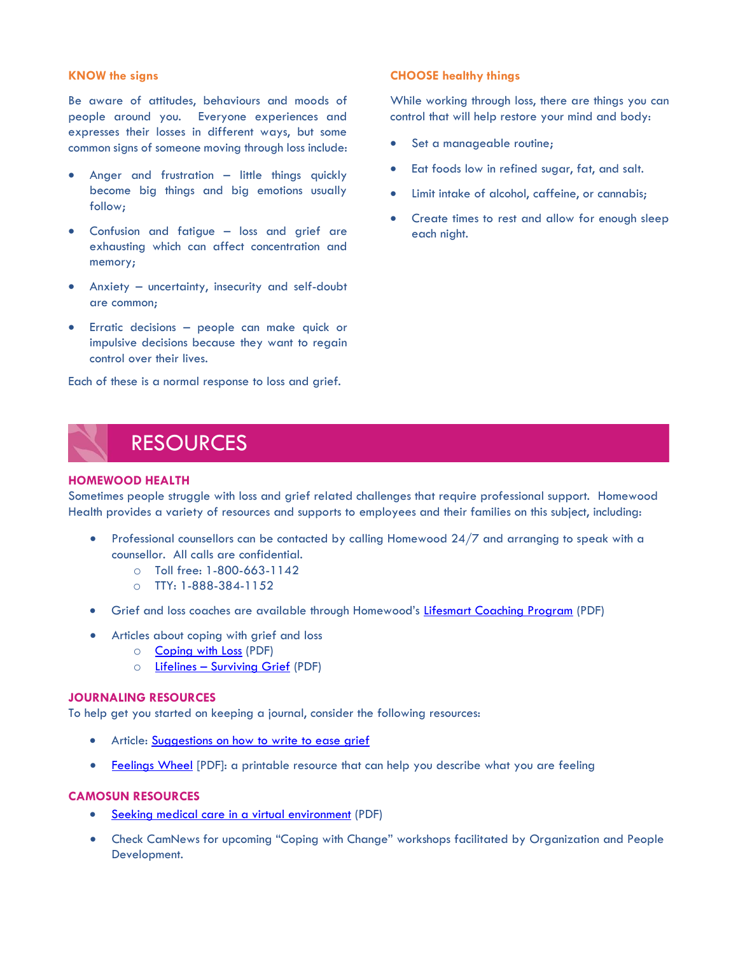#### **KNOW the signs**

Be aware of attitudes, behaviours and moods of people around you. Everyone experiences and expresses their losses in different ways, but some common signs of someone moving through loss include:

- Anger and frustration little things quickly become big things and big emotions usually follow;
- Confusion and fatigue loss and grief are exhausting which can affect concentration and memory;
- Anxiety uncertainty, insecurity and self-doubt are common;
- Erratic decisions people can make quick or impulsive decisions because they want to regain control over their lives.

Each of these is a normal response to loss and grief.

#### **CHOOSE healthy things**

While working through loss, there are things you can control that will help restore your mind and body:

- Set a manageable routine;
- Eat foods low in refined sugar, fat, and salt.
- Limit intake of alcohol, caffeine, or cannabis;
- Create times to rest and allow for enough sleep each night.

## RESOURCES

#### **HOMEWOOD HEALTH**

Sometimes people struggle with loss and grief related challenges that require professional support. Homewood Health provides a variety of resources and supports to employees and their families on this subject, including:

- Professional counsellors can be contacted by calling Homewood 24/7 and arranging to speak with a counsellor. All calls are confidential.
	- o Toll free: 1-800-663-1142
	- o TTY: 1-888-384-1152
- Grief and loss coaches are available through Homewood's [Lifesmart Coaching Program](http://camosun.ca/covid19/documents/camhelps/9-Grief-and-Loss-Coaching.pdf) (PDF)
- Articles about coping with grief and loss
	- o [Coping with Loss](http://camosun.ca/covid19/documents/camhelps/9-Coping-with-Loss.pdf) (PDF)
	- o Lifelines [Surviving Grief](http://camosun.ca/covid19/documents/camhelps/9-Surviving-Grief.pdf) (PDF)

#### **JOURNALING RESOURCES**

To help get you started on keeping a journal, consider the following resources:

- Article: [Suggestions on how to write to ease grief](https://www.health.harvard.edu/mind-and-mood/writing-to-ease-grief)
- [Feelings Wheel](http://camosun.ca/covid19/documents/camhelps/9-Feelings-Wheel-Handout-2019.pdf) [PDF]: a printable resource that can help you describe what you are feeling

### **CAMOSUN RESOURCES**

- Seeking medical care [in a virtual environment](http://camosun.ca/covid19/documents/camhelps/virtual-medical-services.pdf) (PDF)
- Check CamNews for upcoming "Coping with Change" workshops facilitated by Organization and People Development.